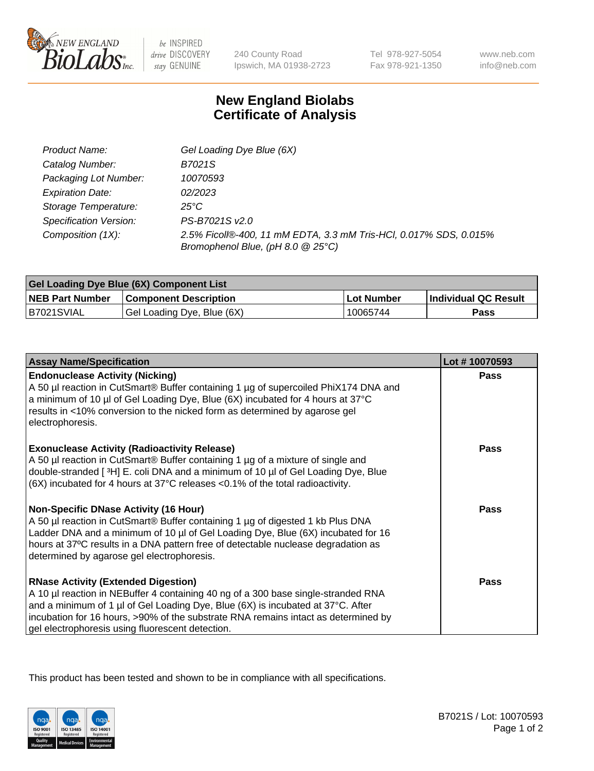

 $be$  INSPIRED drive DISCOVERY stay GENUINE

240 County Road Ipswich, MA 01938-2723 Tel 978-927-5054 Fax 978-921-1350 www.neb.com info@neb.com

## **New England Biolabs Certificate of Analysis**

| Product Name:           | Gel Loading Dye Blue (6X)                                                                              |
|-------------------------|--------------------------------------------------------------------------------------------------------|
| Catalog Number:         | B7021S                                                                                                 |
| Packaging Lot Number:   | 10070593                                                                                               |
| <b>Expiration Date:</b> | 02/2023                                                                                                |
| Storage Temperature:    | 25°C                                                                                                   |
| Specification Version:  | PS-B7021S v2.0                                                                                         |
| Composition (1X):       | 2.5% Ficoll®-400, 11 mM EDTA, 3.3 mM Tris-HCl, 0.017% SDS, 0.015%<br>Bromophenol Blue, (pH 8.0 @ 25°C) |

| Gel Loading Dye Blue (6X) Component List |                              |                   |                      |  |
|------------------------------------------|------------------------------|-------------------|----------------------|--|
| <b>NEB Part Number</b>                   | <b>Component Description</b> | <b>Lot Number</b> | Individual QC Result |  |
| B7021SVIAL                               | Gel Loading Dye, Blue (6X)   | 10065744          | Pass                 |  |

| <b>Assay Name/Specification</b>                                                                                                                                                                                                                                                                                                                              | Lot #10070593 |
|--------------------------------------------------------------------------------------------------------------------------------------------------------------------------------------------------------------------------------------------------------------------------------------------------------------------------------------------------------------|---------------|
| <b>Endonuclease Activity (Nicking)</b><br>A 50 µl reaction in CutSmart® Buffer containing 1 µg of supercoiled PhiX174 DNA and<br>a minimum of 10 µl of Gel Loading Dye, Blue (6X) incubated for 4 hours at 37°C<br>results in <10% conversion to the nicked form as determined by agarose gel<br>electrophoresis.                                            | Pass          |
| <b>Exonuclease Activity (Radioactivity Release)</b><br>A 50 µl reaction in CutSmart® Buffer containing 1 µg of a mixture of single and<br>double-stranded [3H] E. coli DNA and a minimum of 10 µl of Gel Loading Dye, Blue<br>$(6X)$ incubated for 4 hours at 37 $^{\circ}$ C releases <0.1% of the total radioactivity.                                     | <b>Pass</b>   |
| <b>Non-Specific DNase Activity (16 Hour)</b><br>A 50 µl reaction in CutSmart® Buffer containing 1 µg of digested 1 kb Plus DNA<br>Ladder DNA and a minimum of 10 µl of Gel Loading Dye, Blue (6X) incubated for 16<br>hours at 37°C results in a DNA pattern free of detectable nuclease degradation as<br>determined by agarose gel electrophoresis.        | <b>Pass</b>   |
| <b>RNase Activity (Extended Digestion)</b><br>A 10 µl reaction in NEBuffer 4 containing 40 ng of a 300 base single-stranded RNA<br>and a minimum of 1 µl of Gel Loading Dye, Blue (6X) is incubated at 37°C. After<br>incubation for 16 hours, >90% of the substrate RNA remains intact as determined by<br>gel electrophoresis using fluorescent detection. | <b>Pass</b>   |

This product has been tested and shown to be in compliance with all specifications.